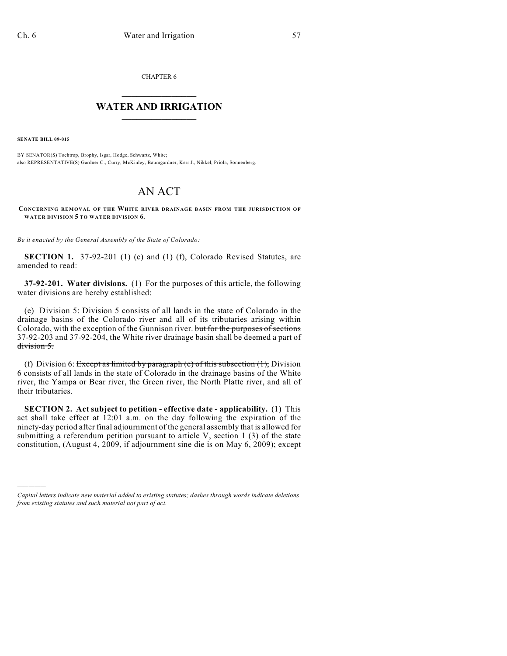CHAPTER 6

## $\overline{\phantom{a}}$  . The set of the set of the set of the set of the set of the set of the set of the set of the set of the set of the set of the set of the set of the set of the set of the set of the set of the set of the set o **WATER AND IRRIGATION**  $\_$   $\_$

**SENATE BILL 09-015**

)))))

BY SENATOR(S) Tochtrop, Brophy, Isgar, Hodge, Schwartz, White; also REPRESENTATIVE(S) Gardner C., Curry, McKinley, Baumgardner, Kerr J., Nikkel, Priola, Sonnenberg.

## AN ACT

**CONCERNING REMOVAL OF THE WHITE RIVER DRAINAGE BASIN FROM THE JURISDICTION OF WATER DIVISION 5 TO WATER DIVISION 6.**

*Be it enacted by the General Assembly of the State of Colorado:*

**SECTION 1.** 37-92-201 (1) (e) and (1) (f), Colorado Revised Statutes, are amended to read:

**37-92-201. Water divisions.** (1) For the purposes of this article, the following water divisions are hereby established:

(e) Division 5: Division 5 consists of all lands in the state of Colorado in the drainage basins of the Colorado river and all of its tributaries arising within Colorado, with the exception of the Gunnison river. but for the purposes of sections 37-92-203 and 37-92-204, the White river drainage basin shall be deemed a part of division 5.

(f) Division 6: Except as limited by paragraph (e) of this subsection  $(1)$ , Division 6 consists of all lands in the state of Colorado in the drainage basins of the White river, the Yampa or Bear river, the Green river, the North Platte river, and all of their tributaries.

**SECTION 2. Act subject to petition - effective date - applicability.** (1) This act shall take effect at 12:01 a.m. on the day following the expiration of the ninety-day period after final adjournment of the general assembly that is allowed for submitting a referendum petition pursuant to article V, section 1 (3) of the state constitution, (August 4, 2009, if adjournment sine die is on May 6, 2009); except

*Capital letters indicate new material added to existing statutes; dashes through words indicate deletions from existing statutes and such material not part of act.*